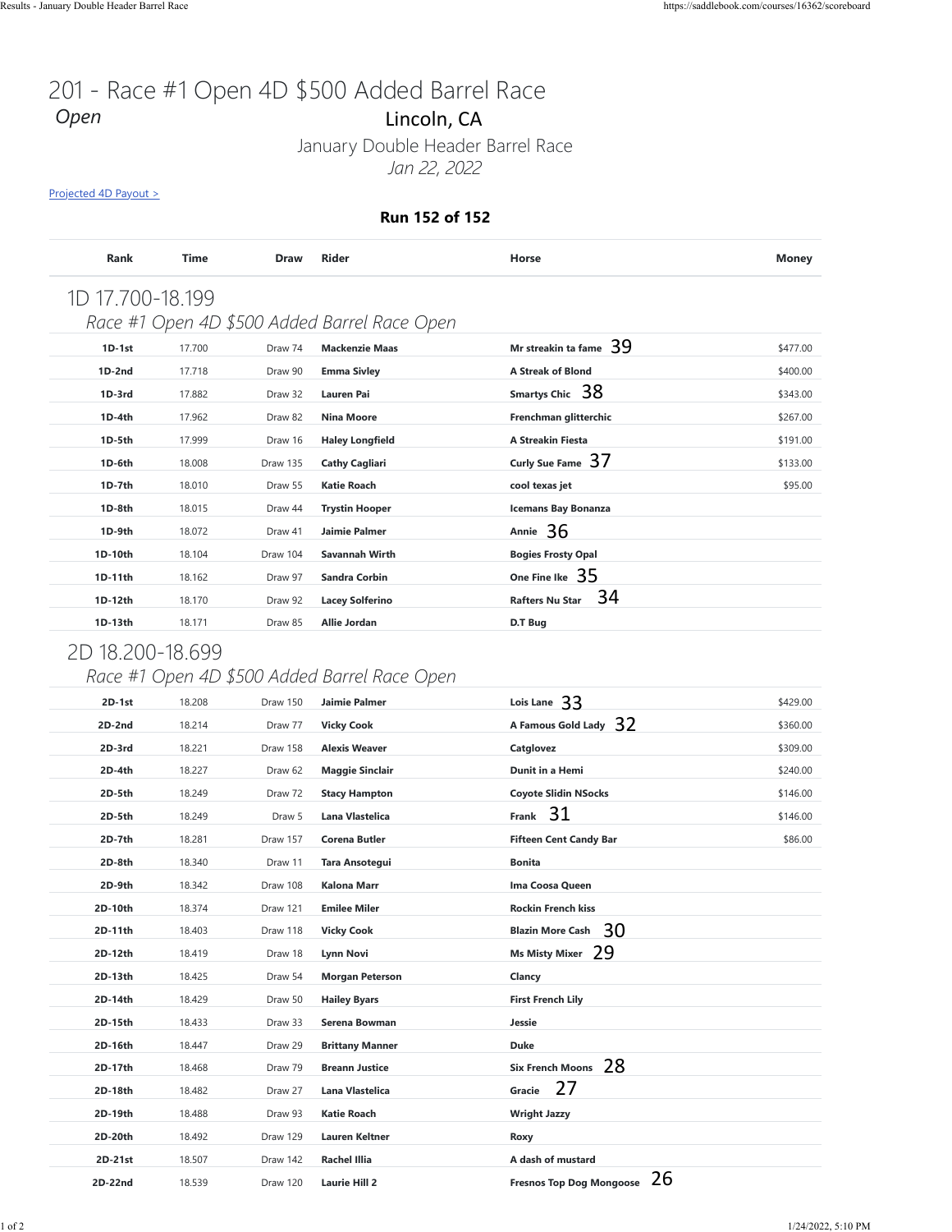#### **Run 152 of 152**

| <b>Rank</b>      | <b>Time</b> | <b>Draw</b> | <b>Rider</b>                                 | Horse                        | <b>Money</b> |
|------------------|-------------|-------------|----------------------------------------------|------------------------------|--------------|
| 1D 17.700-18.199 |             |             |                                              |                              |              |
|                  |             |             | Race #1 Open 4D \$500 Added Barrel Race Open |                              |              |
| $1D-1st$         | 17.700      | Draw 74     | <b>Mackenzie Maas</b>                        | Mr streakin ta fame $39$     | \$477.00     |
| $1D-2nd$         | 17.718      | Draw 90     | <b>Emma Sivley</b>                           | <b>A Streak of Blond</b>     | \$400.00     |
| $1D-3rd$         | 17.882      | Draw 32     | Lauren Pai                                   | Smartys Chic 38              | \$343.00     |
| $1D-4th$         | 17.962      | Draw 82     | <b>Nina Moore</b>                            | Frenchman glitterchic        | \$267.00     |
| $1D-5th$         | 17.999      | Draw 16     | <b>Haley Longfield</b>                       | <b>A Streakin Fiesta</b>     | \$191.00     |
| 1D-6th           | 18.008      | Draw 135    | <b>Cathy Cagliari</b>                        | Curly Sue Fame 37            | \$133.00     |
| $1D-7th$         | 18.010      | Draw 55     | <b>Katie Roach</b>                           | cool texas jet               | \$95.00      |
| 1D-8th           | 18.015      | Draw 44     | <b>Trystin Hooper</b>                        | <b>Icemans Bay Bonanza</b>   |              |
| 1D-9th           | 18.072      | Draw 41     | Jaimie Palmer                                | Annie $36$                   |              |
| 1D-10th          | 18.104      | Draw 104    | Savannah Wirth                               | <b>Bogies Frosty Opal</b>    |              |
| 1D-11th          | 18.162      | Draw 97     | <b>Sandra Corbin</b>                         | One Fine Ike $35$            |              |
| 1D-12th          | 18.170      | Draw 92     | <b>Lacey Solferino</b>                       | 34<br><b>Rafters Nu Star</b> |              |
| 1D-13th          | 18.171      | Draw 85     | Allie Jordan                                 | D.T Bug                      |              |

## 2D 18.200-18.699

## *Race #1 Open 4D \$500 Added Barrel Race Open*

| Projected 4D Payout >       |                  |                    |                                                               |                                    |              |
|-----------------------------|------------------|--------------------|---------------------------------------------------------------|------------------------------------|--------------|
|                             |                  |                    | Run 152 of 152                                                |                                    |              |
| Rank                        | Time             | <b>Draw</b>        | <b>Rider</b>                                                  | Horse                              | <b>Money</b> |
| 1D 17.700-18.199            |                  |                    |                                                               |                                    |              |
|                             |                  |                    | Race #1 Open 4D \$500 Added Barrel Race Open                  |                                    |              |
| $1D-1st$                    | 17.700           | Draw 74            | <b>Mackenzie Maas</b>                                         | Mr streakin ta fame 39             | \$477.00     |
| $1D-2nd$                    | 17.718           | Draw 90            | <b>Emma Sivley</b>                                            | <b>A Streak of Blond</b>           | \$400.00     |
| 1D-3rd                      | 17.882           | Draw 32            | Lauren Pai                                                    | Smartys Chic 38                    | \$343.00     |
| 1D-4th                      | 17.962           | Draw 82            | <b>Nina Moore</b>                                             | Frenchman glitterchic              | \$267.00     |
| 1D-5th                      | 17.999           | Draw 16            | <b>Haley Longfield</b>                                        | A Streakin Fiesta                  | \$191.00     |
| 1D-6th                      | 18.008           | Draw 135           | <b>Cathy Cagliari</b>                                         | Curly Sue Fame 37                  | \$133.00     |
| 1D-7th                      | 18.010           | Draw 55            | Katie Roach                                                   | cool texas jet                     | \$95.00      |
| 1D-8th                      | 18.015           | Draw 44            | Trystin Hooper                                                | <b>Icemans Bay Bonanza</b>         |              |
| 1D-9th                      | 18.072           | Draw 41            | Jaimie Palmer                                                 | Annie 36                           |              |
| 1D-10th                     | 18.104           | Draw 104           | Savannah Wirth                                                | <b>Bogies Frosty Opal</b>          |              |
| 1D-11th                     | 18.162           | Draw 97            | Sandra Corbin                                                 | One Fine Ike $35$                  |              |
| 1D-12th                     | 18.170           | Draw 92            | Lacey Solferino                                               | 34<br><b>Rafters Nu Star</b>       |              |
| 1D-13th<br>2D 18.200-18.699 | 18.171           | Draw 85            | Allie Jordan                                                  | D.T Bug                            |              |
| 2D-1st                      | 18.208           | Draw 150           | Race #1 Open 4D \$500 Added Barrel Race Open<br>Jaimie Palmer | Lois Lane 33                       | \$429.00     |
| 2D-2nd                      | 18.214           | Draw 77            | <b>Vicky Cook</b>                                             | -32<br>A Famous Gold Lady          | \$360.00     |
| 2D-3rd                      | 18.221           | Draw 158           | <b>Alexis Weaver</b>                                          | Catglovez                          | \$309.00     |
| 2D-4th                      | 18.227           | Draw 62            | <b>Maggie Sinclair</b>                                        | Dunit in a Hemi                    | \$240.00     |
| 2D-5th                      | 18.249           | Draw 72            | <b>Stacy Hampton</b>                                          | <b>Coyote Slidin NSocks</b>        | \$146.00     |
| 2D-5th                      | 18.249           | Draw 5             | Lana Vlastelica                                               | Frank $31$                         | \$146.00     |
| 2D-7th                      | 18.281           | Draw 157           | Corena Butler                                                 | <b>Fifteen Cent Candy Bar</b>      | \$86.00      |
| 2D-8th                      | 18.340           | Draw 11            | Tara Ansotegui                                                | <b>Bonita</b>                      |              |
| 2D-9th                      | 18.342           | Draw 108           | <b>Kalona Marr</b>                                            | Ima Coosa Queen                    |              |
| 2D-10th                     | 18.374           | Draw 121           | <b>Emilee Miler</b>                                           | <b>Rockin French kiss</b>          |              |
| 2D-11th                     | 18.403           | Draw 118           | <b>Vicky Cook</b>                                             | Blazin More Cash 30                |              |
| 2D-12th                     | 18.419           | Draw 18            | Lynn Novi                                                     | Ms Misty Mixer 29                  |              |
| 2D-13th                     | 18.425           | Draw 54            | <b>Morgan Peterson</b>                                        | Clancy                             |              |
| 2D-14th<br>2D-15th          | 18.429<br>18.433 | Draw 50<br>Draw 33 | <b>Hailey Byars</b><br>Serena Bowman                          | <b>First French Lily</b><br>Jessie |              |
| 2D-16th                     | 18.447           | Draw 29            | <b>Brittany Manner</b>                                        | Duke                               |              |
| 2D-17th                     | 18.468           | Draw 79            | <b>Breann Justice</b>                                         | Six French Moons 28                |              |
| 2D-18th                     | 18.482           | Draw 27            | Lana Vlastelica                                               | 27<br>Gracie                       |              |
| 2D-19th                     | 18.488           | Draw 93            | <b>Katie Roach</b>                                            | <b>Wright Jazzy</b>                |              |
| 2D-20th                     | 18.492           | Draw 129           | <b>Lauren Keltner</b>                                         | Roxy                               |              |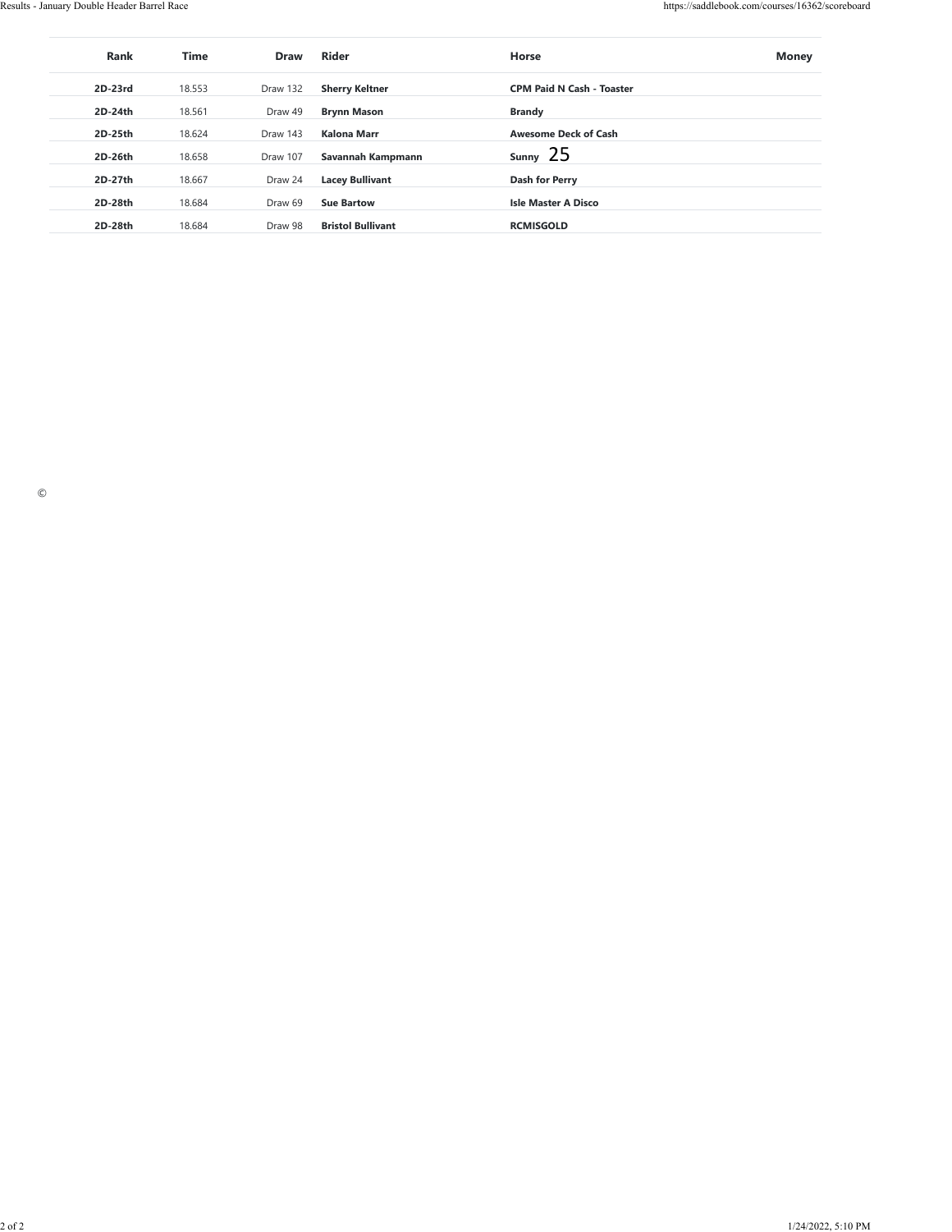| <b>Sherry Keltner</b><br>$2D-23rd$<br>Draw 132<br><b>CPM Paid N Cash - Toaster</b><br>18.553<br>$2D-24th$<br>18.561<br>Draw 49<br><b>Brynn Mason</b><br><b>Brandy</b><br>Draw 143<br>Awesome Deck of Cash<br>2D-25th<br>18.624<br>Kalona Marr<br>sumy 25<br>$2D-26th$<br>18.658<br>Draw 107<br>Savannah Kampmann<br>$2D-27th$<br>Draw 24<br><b>Dash for Perry</b><br>18.667<br><b>Lacey Bullivant</b><br>18.684<br>$2D-28th$<br>Draw 69<br><b>Sue Bartow</b><br><b>Isle Master A Disco</b><br>$2D-28th$<br>Draw 98<br><b>Bristol Bullivant</b><br>RCMISGOLD<br>18.684<br>$\copyright$<br>$2$ of $2$<br>1/24/2022, 5:10 PM | Rank | $\mathop{\mathsf{Time}}$ | Draw | Rider | Horse | <b>Money</b> |
|---------------------------------------------------------------------------------------------------------------------------------------------------------------------------------------------------------------------------------------------------------------------------------------------------------------------------------------------------------------------------------------------------------------------------------------------------------------------------------------------------------------------------------------------------------------------------------------------------------------------------|------|--------------------------|------|-------|-------|--------------|
|                                                                                                                                                                                                                                                                                                                                                                                                                                                                                                                                                                                                                           |      |                          |      |       |       |              |
|                                                                                                                                                                                                                                                                                                                                                                                                                                                                                                                                                                                                                           |      |                          |      |       |       |              |
|                                                                                                                                                                                                                                                                                                                                                                                                                                                                                                                                                                                                                           |      |                          |      |       |       |              |
|                                                                                                                                                                                                                                                                                                                                                                                                                                                                                                                                                                                                                           |      |                          |      |       |       |              |
|                                                                                                                                                                                                                                                                                                                                                                                                                                                                                                                                                                                                                           |      |                          |      |       |       |              |
|                                                                                                                                                                                                                                                                                                                                                                                                                                                                                                                                                                                                                           |      |                          |      |       |       |              |
|                                                                                                                                                                                                                                                                                                                                                                                                                                                                                                                                                                                                                           |      |                          |      |       |       |              |
|                                                                                                                                                                                                                                                                                                                                                                                                                                                                                                                                                                                                                           |      |                          |      |       |       |              |
|                                                                                                                                                                                                                                                                                                                                                                                                                                                                                                                                                                                                                           |      |                          |      |       |       |              |
|                                                                                                                                                                                                                                                                                                                                                                                                                                                                                                                                                                                                                           |      |                          |      |       |       |              |
|                                                                                                                                                                                                                                                                                                                                                                                                                                                                                                                                                                                                                           |      |                          |      |       |       |              |
|                                                                                                                                                                                                                                                                                                                                                                                                                                                                                                                                                                                                                           |      |                          |      |       |       |              |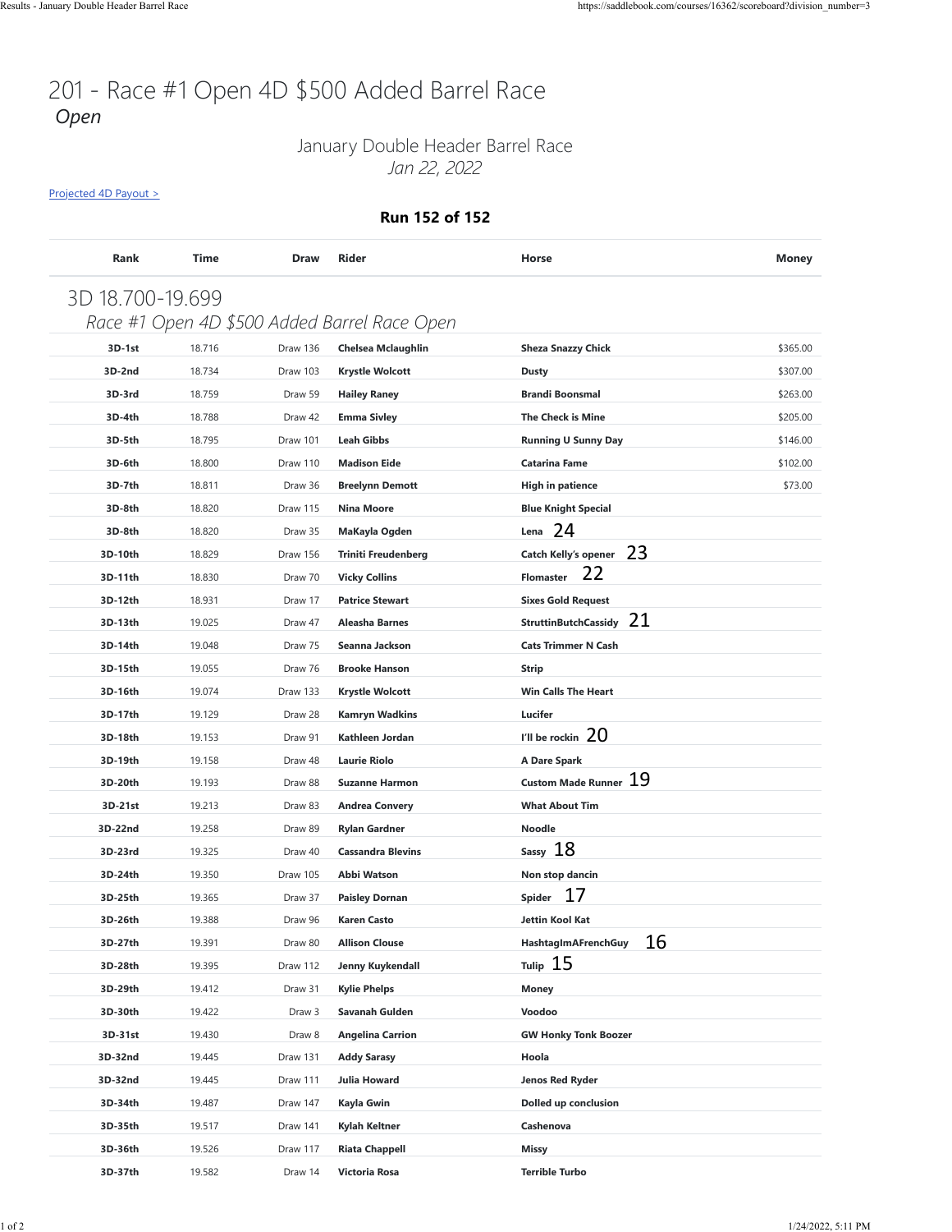### January Double Header Barrel Race *Jan 22, 2022*

[Projected 4D Payout >](https://saddlebook.com/courses/16362/scoreboard?division_number=3#payout-projection-16362)

#### **Run 152 of 152**

|                  |        |          |                                              |                                  | <b>Money</b> |
|------------------|--------|----------|----------------------------------------------|----------------------------------|--------------|
| 3D 18.700-19.699 |        |          |                                              |                                  |              |
|                  |        |          | Race #1 Open 4D \$500 Added Barrel Race Open |                                  |              |
| 3D-1st           | 18.716 | Draw 136 | <b>Chelsea Mclaughlin</b>                    | <b>Sheza Snazzy Chick</b>        | \$365.00     |
| 3D-2nd           | 18.734 | Draw 103 | Krystle Wolcott                              | <b>Dusty</b>                     | \$307.00     |
| 3D-3rd           | 18.759 | Draw 59  | <b>Hailey Raney</b>                          | <b>Brandi Boonsmal</b>           | \$263.00     |
| 3D-4th           | 18.788 | Draw 42  | <b>Emma Sivley</b>                           | The Check is Mine                | \$205.00     |
| 3D-5th           | 18.795 | Draw 101 | <b>Leah Gibbs</b>                            | <b>Running U Sunny Day</b>       | \$146.00     |
| 3D-6th           | 18.800 | Draw 110 | <b>Madison Eide</b>                          | Catarina Fame                    | \$102.00     |
| 3D-7th           | 18.811 | Draw 36  | <b>Breelynn Demott</b>                       | <b>High in patience</b>          | \$73.00      |
| 3D-8th           | 18.820 | Draw 115 | <b>Nina Moore</b>                            | <b>Blue Knight Special</b>       |              |
| 3D-8th           | 18.820 | Draw 35  | MaKayla Ogden                                | Lena $24$                        |              |
| 3D-10th          | 18.829 | Draw 156 | <b>Triniti Freudenberg</b>                   | Catch Kelly's opener 23          |              |
| 3D-11th          | 18.830 | Draw 70  | <b>Vicky Collins</b>                         | 22<br><b>Flomaster</b>           |              |
| 3D-12th          | 18.931 | Draw 17  | <b>Patrice Stewart</b>                       | <b>Sixes Gold Request</b>        |              |
| 3D-13th          | 19.025 | Draw 47  | <b>Aleasha Barnes</b>                        | StruttinButchCassidy 21          |              |
| 3D-14th          | 19.048 | Draw 75  | Seanna Jackson                               | <b>Cats Trimmer N Cash</b>       |              |
| 3D-15th          | 19.055 | Draw 76  | <b>Brooke Hanson</b>                         | <b>Strip</b>                     |              |
| 3D-16th          | 19.074 | Draw 133 | <b>Krystle Wolcott</b>                       | <b>Win Calls The Heart</b>       |              |
| 3D-17th          | 19.129 | Draw 28  | <b>Kamryn Wadkins</b>                        | Lucifer                          |              |
| 3D-18th          | 19.153 | Draw 91  | Kathleen Jordan                              | I'll be rockin $20$              |              |
| 3D-19th          | 19.158 | Draw 48  | <b>Laurie Riolo</b>                          | A Dare Spark                     |              |
| 3D-20th          | 19.193 | Draw 88  | <b>Suzanne Harmon</b>                        | 19<br><b>Custom Made Runner</b>  |              |
| 3D-21st          | 19.213 | Draw 83  | <b>Andrea Convery</b>                        | <b>What About Tim</b>            |              |
| 3D-22nd          | 19.258 | Draw 89  | <b>Rylan Gardner</b>                         | <b>Noodle</b>                    |              |
| 3D-23rd          | 19.325 | Draw 40  | <b>Cassandra Blevins</b>                     | Sassy 18                         |              |
| 3D-24th          | 19.350 | Draw 105 | <b>Abbi Watson</b>                           | Non stop dancin                  |              |
| 3D-25th          | 19.365 | Draw 37  | <b>Paisley Dornan</b>                        | -17<br>Spider                    |              |
| 3D-26th          | 19.388 | Draw 96  | <b>Karen Casto</b>                           | Jettin Kool Kat                  |              |
| 3D-27th          | 19.391 | Draw 80  | <b>Allison Clouse</b>                        | 16<br><b>HashtagImAFrenchGuy</b> |              |
| 3D-28th          | 19.395 | Draw 112 | Jenny Kuykendall                             | Tulip $15$                       |              |
| 3D-29th          | 19.412 | Draw 31  | <b>Kylie Phelps</b>                          | <b>Money</b>                     |              |
| 3D-30th          | 19.422 | Draw 3   | Savanah Gulden                               | Voodoo                           |              |
| 3D-31st          | 19.430 | Draw 8   | <b>Angelina Carrion</b>                      | <b>GW Honky Tonk Boozer</b>      |              |
| 3D-32nd          | 19.445 | Draw 131 | <b>Addy Sarasy</b>                           | Hoola                            |              |
| 3D-32nd          | 19.445 | Draw 111 | <b>Julia Howard</b>                          | Jenos Red Ryder                  |              |
| 3D-34th          | 19.487 | Draw 147 | Kayla Gwin                                   | Dolled up conclusion             |              |
| 3D-35th          | 19.517 | Draw 141 | Kylah Keltner                                | Cashenova                        |              |
| 3D-36th          | 19.526 | Draw 117 | <b>Riata Chappell</b>                        | Missy                            |              |
| 3D-37th          | 19.582 | Draw 14  | Victoria Rosa                                | <b>Terrible Turbo</b>            |              |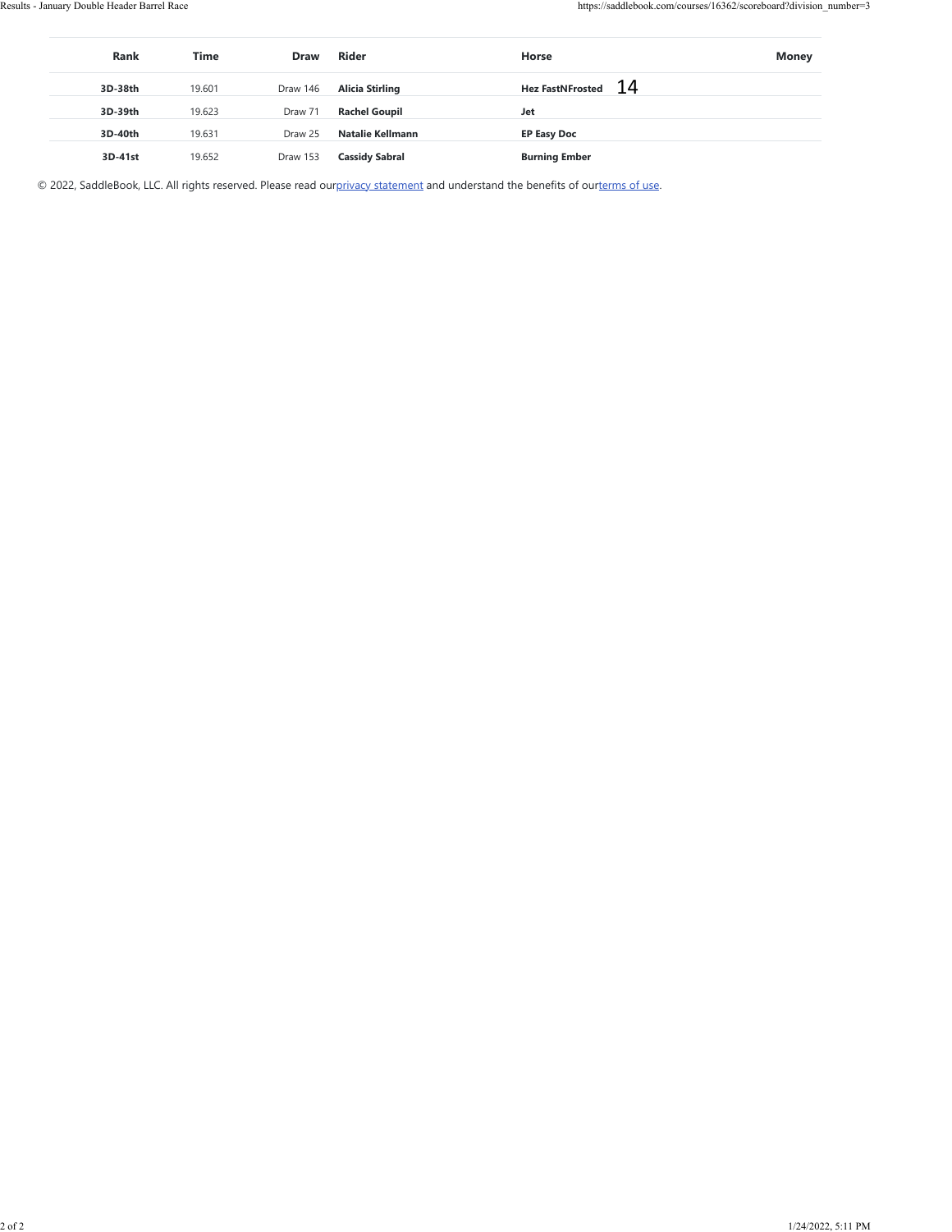| Rank      | Time   | Draw     | Rider                  | Horse                                                                                                                          | Money |
|-----------|--------|----------|------------------------|--------------------------------------------------------------------------------------------------------------------------------|-------|
| $3D-38th$ | 19.601 | Draw 146 | <b>Alicia Stirling</b> | <b>Hez FastNFrosted</b>                                                                                                        | 14    |
| 3D-39th   | 19.623 | Draw 71  | <b>Rachel Goupil</b>   | $_{\rm Jet}$                                                                                                                   |       |
| 3D-40th   | 19.631 | Draw 25  | Natalie Kellmann       | <b>EP Easy Doc</b>                                                                                                             |       |
| 3D-41st   | 19.652 | Draw 153 | <b>Cassidy Sabral</b>  | <b>Burning Ember</b>                                                                                                           |       |
|           |        |          |                        | © 2022, SaddleBook, LLC. All rights reserved. Please read ourprivacy statement and understand the benefits of ourterms of use. |       |
|           |        |          |                        |                                                                                                                                |       |
|           |        |          |                        |                                                                                                                                |       |
|           |        |          |                        |                                                                                                                                |       |
|           |        |          |                        |                                                                                                                                |       |
|           |        |          |                        |                                                                                                                                |       |
|           |        |          |                        |                                                                                                                                |       |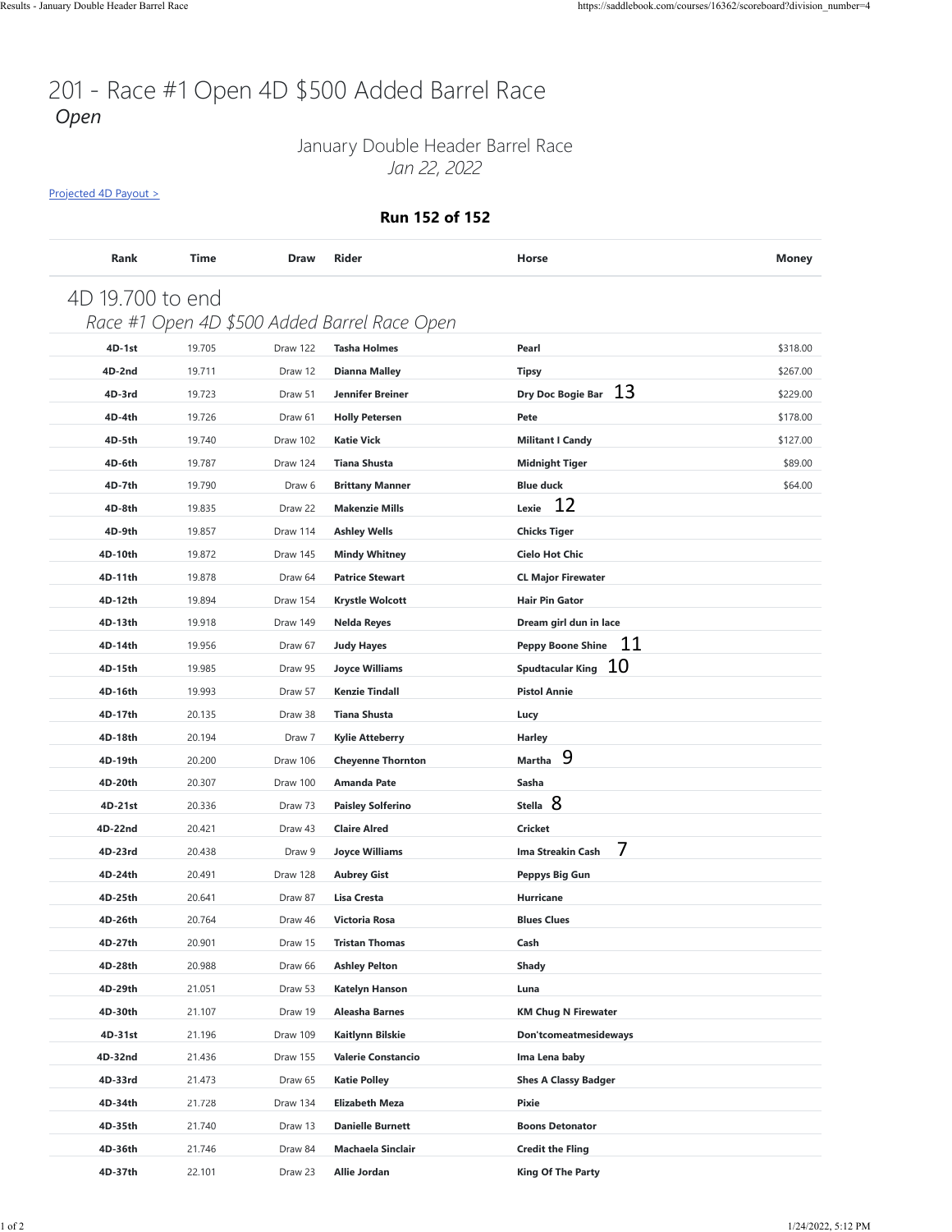### January Double Header Barrel Race *Jan 22, 2022*

[Projected 4D Payout >](https://saddlebook.com/courses/16362/scoreboard?division_number=4#payout-projection-16362)

#### **Run 152 of 152**

| Rank             | Time   | <b>Draw</b>       | <b>Rider</b>                                 | Horse                          | <b>Money</b> |
|------------------|--------|-------------------|----------------------------------------------|--------------------------------|--------------|
| 4D 19.700 to end |        |                   |                                              |                                |              |
|                  |        |                   | Race #1 Open 4D \$500 Added Barrel Race Open |                                |              |
| 4D-1st           | 19.705 | Draw 122          | <b>Tasha Holmes</b>                          | Pearl                          | \$318.00     |
| 4D-2nd           | 19.711 | Draw 12           | <b>Dianna Malley</b>                         | <b>Tipsy</b>                   | \$267.00     |
| 4D-3rd           | 19.723 | Draw 51           | Jennifer Breiner                             | 13<br>Dry Doc Bogie Bar        | \$229.00     |
| 4D-4th           | 19.726 | Draw 61           | <b>Holly Petersen</b>                        | Pete                           | \$178.00     |
| 4D-5th           | 19.740 | Draw 102          | <b>Katie Vick</b>                            | <b>Militant I Candy</b>        | \$127.00     |
| 4D-6th           | 19.787 | Draw 124          | <b>Tiana Shusta</b>                          | <b>Midnight Tiger</b>          | \$89.00      |
| 4D-7th           | 19.790 | Draw <sub>6</sub> | <b>Brittany Manner</b>                       | <b>Blue duck</b>               | \$64.00      |
| 4D-8th           | 19.835 | Draw 22           | <b>Makenzie Mills</b>                        | 12<br>Lexie                    |              |
| 4D-9th           | 19.857 | Draw 114          | <b>Ashley Wells</b>                          | <b>Chicks Tiger</b>            |              |
| 4D-10th          | 19.872 | Draw 145          | <b>Mindy Whitney</b>                         | <b>Cielo Hot Chic</b>          |              |
| 4D-11th          | 19.878 | Draw 64           | <b>Patrice Stewart</b>                       | <b>CL Major Firewater</b>      |              |
| 4D-12th          | 19.894 | Draw 154          | <b>Krystle Wolcott</b>                       | <b>Hair Pin Gator</b>          |              |
| 4D-13th          | 19.918 | Draw 149          | <b>Nelda Reyes</b>                           | Dream girl dun in lace         |              |
| 4D-14th          | 19.956 | Draw 67           | <b>Judy Hayes</b>                            | 11<br><b>Peppy Boone Shine</b> |              |
| 4D-15th          | 19.985 | Draw 95           | Joyce Williams                               | Spudtacular King $10$          |              |
| 4D-16th          | 19.993 | Draw 57           | <b>Kenzie Tindall</b>                        | <b>Pistol Annie</b>            |              |
| 4D-17th          | 20.135 | Draw 38           | <b>Tiana Shusta</b>                          | Lucy                           |              |
| 4D-18th          | 20.194 | Draw 7            | <b>Kylie Atteberry</b>                       | <b>Harley</b>                  |              |
| 4D-19th          | 20.200 | Draw 106          | <b>Cheyenne Thornton</b>                     | 9<br>Martha                    |              |
| 4D-20th          | 20.307 | Draw 100          | <b>Amanda Pate</b>                           | Sasha                          |              |
| 4D-21st          | 20.336 | Draw 73           | <b>Paisley Solferino</b>                     | Stella 8                       |              |
| 4D-22nd          | 20.421 | Draw 43           | <b>Claire Alred</b>                          | <b>Cricket</b>                 |              |
| 4D-23rd          | 20.438 | Draw 9            | <b>Joyce Williams</b>                        | 7<br>Ima Streakin Cash         |              |
| 4D-24th          | 20.491 | Draw 128          | <b>Aubrey Gist</b>                           | Peppys Big Gun                 |              |
| 4D-25th          | 20.641 | Draw 87           | Lisa Cresta                                  | Hurricane                      |              |
| 4D-26th          | 20.764 | Draw 46           | <b>Victoria Rosa</b>                         | <b>Blues Clues</b>             |              |
| 4D-27th          | 20.901 | Draw 15           | <b>Tristan Thomas</b>                        | Cash                           |              |
| 4D-28th          | 20.988 | Draw 66           | <b>Ashley Pelton</b>                         | Shady                          |              |
| 4D-29th          | 21.051 | Draw 53           | Katelyn Hanson                               | Luna                           |              |
| 4D-30th          | 21.107 | Draw 19           | Aleasha Barnes                               | <b>KM Chug N Firewater</b>     |              |
| 4D-31st          | 21.196 | Draw 109          | Kaitlynn Bilskie                             | Don'tcomeatmesideways          |              |
| 4D-32nd          | 21.436 | Draw 155          | <b>Valerie Constancio</b>                    | Ima Lena baby                  |              |
| 4D-33rd          | 21.473 | Draw 65           | <b>Katie Polley</b>                          | <b>Shes A Classy Badger</b>    |              |
| 4D-34th          | 21.728 | Draw 134          | Elizabeth Meza                               | Pixie                          |              |
| 4D-35th          | 21.740 | Draw 13           | <b>Danielle Burnett</b>                      | <b>Boons Detonator</b>         |              |
| 4D-36th          | 21.746 | Draw 84           | Machaela Sinclair                            | <b>Credit the Fling</b>        |              |
| 4D-37th          | 22.101 | Draw 23           | Allie Jordan                                 | <b>King Of The Party</b>       |              |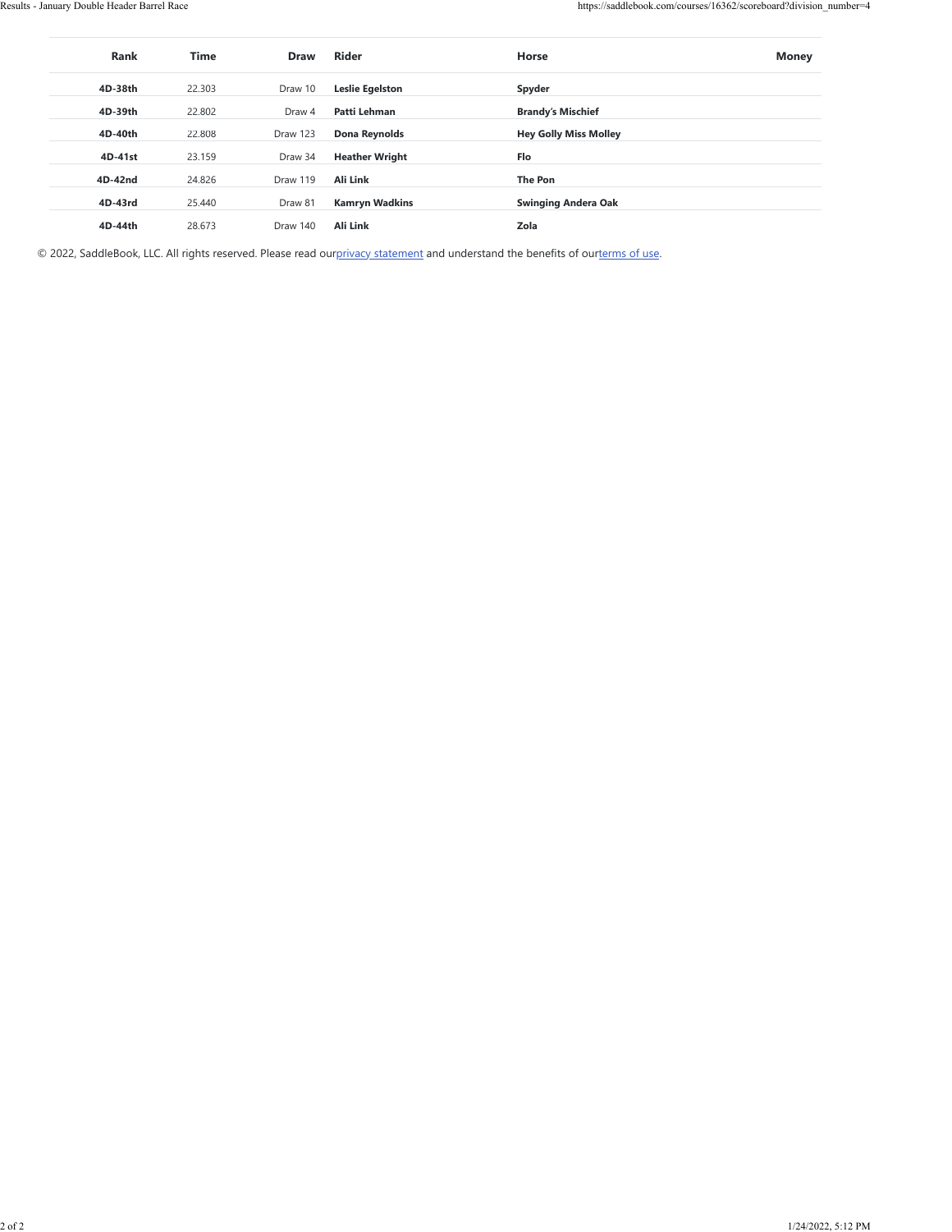| <b>Rank</b> | <b>Time</b> | <b>Draw</b>     | Rider                  | Horse                        | <b>Money</b> |
|-------------|-------------|-----------------|------------------------|------------------------------|--------------|
| 4D-38th     | 22,303      | Draw 10         | <b>Leslie Egelston</b> | Spyder                       |              |
| 4D-39th     | 22.802      | Draw 4          | Patti Lehman           | <b>Brandy's Mischief</b>     |              |
| 4D-40th     | 22,808      | <b>Draw 123</b> | Dona Reynolds          | <b>Hey Golly Miss Molley</b> |              |
| 4D-41st     | 23.159      | Draw 34         | <b>Heather Wright</b>  | Flo                          |              |
| 4D-42nd     | 24.826      | Draw 119        | Ali Link               | The Pon                      |              |
| 4D-43rd     | 25.440      | Draw 81         | <b>Kamryn Wadkins</b>  | <b>Swinging Andera Oak</b>   |              |
| 4D-44th     | 28.673      | Draw 140        | <b>Ali Link</b>        | Zola                         |              |

© 2022, SaddleBook, LLC. All rights reserved. Please read ou[rprivacy statement](https://saddlebook.com/privacy_policy) and understand the benefits of our[terms of use.](https://saddlebook.com/user_agreement)